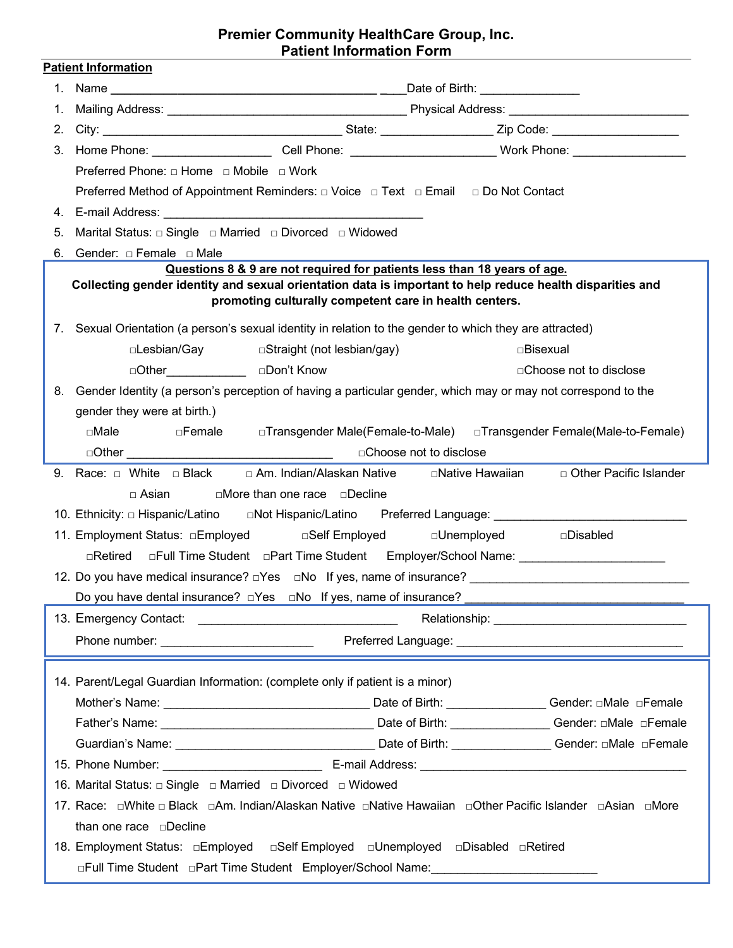# **Premier Community HealthCare Group, Inc. Patient Information Form**

|    | <b>Patient Information</b>                                                                                                                                          |  |  |  |
|----|---------------------------------------------------------------------------------------------------------------------------------------------------------------------|--|--|--|
|    |                                                                                                                                                                     |  |  |  |
| 1. |                                                                                                                                                                     |  |  |  |
| 2. |                                                                                                                                                                     |  |  |  |
|    | 3. Home Phone: ________________________Cell Phone: _________________________Work Phone: _________________                                                           |  |  |  |
|    | Preferred Phone: □ Home □ Mobile □ Work                                                                                                                             |  |  |  |
|    | Preferred Method of Appointment Reminders: □ Voice □ Text □ Email □ Do Not Contact                                                                                  |  |  |  |
|    |                                                                                                                                                                     |  |  |  |
| 5. |                                                                                                                                                                     |  |  |  |
|    | 6. Gender: $\Box$ Female $\Box$ Male                                                                                                                                |  |  |  |
|    | Questions 8 & 9 are not required for patients less than 18 years of age.                                                                                            |  |  |  |
|    | Collecting gender identity and sexual orientation data is important to help reduce health disparities and<br>promoting culturally competent care in health centers. |  |  |  |
|    | 7. Sexual Orientation (a person's sexual identity in relation to the gender to which they are attracted)                                                            |  |  |  |
|    | □Lesbian/Gay<br>□Straight (not lesbian/gay)<br>□Bisexual                                                                                                            |  |  |  |
|    | □Other______________________ □Don't Know<br>□ Choose not to disclose                                                                                                |  |  |  |
|    | 8. Gender Identity (a person's perception of having a particular gender, which may or may not correspond to the                                                     |  |  |  |
|    | gender they were at birth.)                                                                                                                                         |  |  |  |
|    | □Male      □Female    □Transgender Male(Female-to-Male)   □Transgender Female(Male-to-Female)                                                                       |  |  |  |
|    |                                                                                                                                                                     |  |  |  |
|    | 9. Race: $\Box$ White $\Box$ Black $\Box$ Am. Indian/Alaskan Native $\Box$ Native Hawaiian $\Box$ Other Pacific Islander                                            |  |  |  |
|    | □ Asian<br>$\square$ More than one race $\square$ Decline                                                                                                           |  |  |  |
|    | 10. Ethnicity: □ Hispanic/Latino   □Not Hispanic/Latino   Preferred Language: ___________________________                                                           |  |  |  |
|    | 11. Employment Status: □Employed     □Self Employed     □Unemployed<br>□Disabled                                                                                    |  |  |  |
|    | □Retired □Full Time Student □Part Time Student Employer/School Name: ________________________                                                                       |  |  |  |
|    |                                                                                                                                                                     |  |  |  |
|    | Do you have dental insurance? $\Box$ Yes $\Box$ No If yes, name of insurance?                                                                                       |  |  |  |
|    |                                                                                                                                                                     |  |  |  |
|    |                                                                                                                                                                     |  |  |  |
|    |                                                                                                                                                                     |  |  |  |
|    | 14. Parent/Legal Guardian Information: (complete only if patient is a minor)                                                                                        |  |  |  |
|    |                                                                                                                                                                     |  |  |  |
|    |                                                                                                                                                                     |  |  |  |
|    |                                                                                                                                                                     |  |  |  |
|    |                                                                                                                                                                     |  |  |  |
|    | 17. Race:  □White □ Black  □Am. Indian/Alaskan Native  □Native Hawaiian  □Other Pacific Islander  □Asian  □More                                                     |  |  |  |
|    | than one race <b>pDecline</b>                                                                                                                                       |  |  |  |
|    |                                                                                                                                                                     |  |  |  |
|    | 18. Employment Status: □Employed □Self Employed □Unemployed □Disabled □Retired                                                                                      |  |  |  |
|    | □Full Time Student □Part Time Student Employer/School Name: ____________________                                                                                    |  |  |  |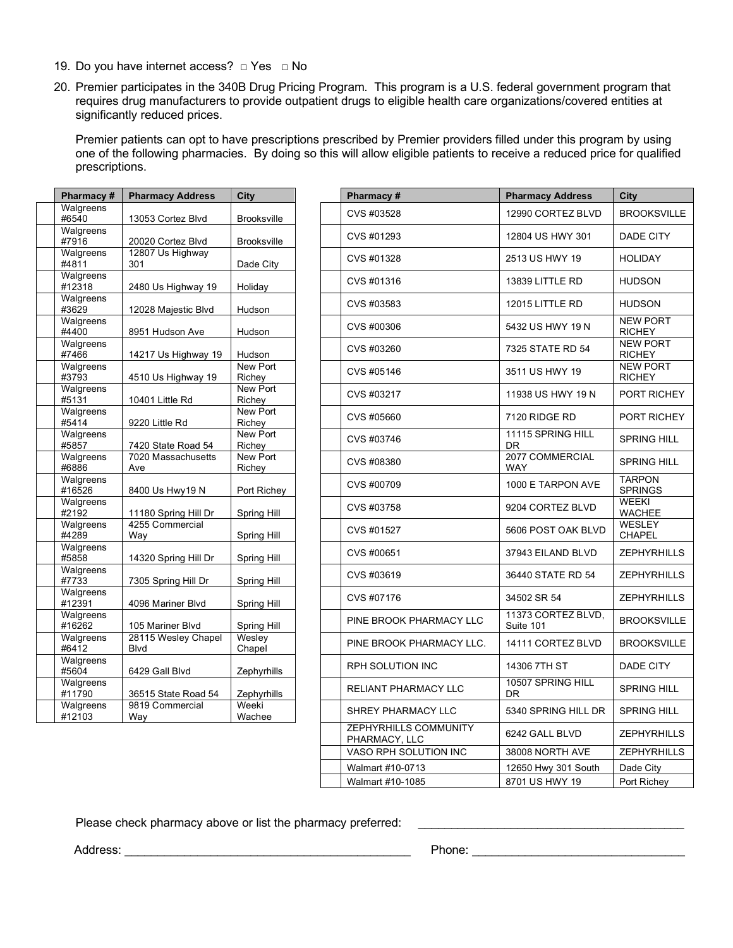- 19. Do you have internet access? □ Yes □ No
- 20. Premier participates in the 340B Drug Pricing Program. This program is a U.S. federal government program that requires drug manufacturers to provide outpatient drugs to eligible health care organizations/covered entities at significantly reduced prices.

Premier patients can opt to have prescriptions prescribed by Premier providers filled under this program by using one of the following pharmacies. By doing so this will allow eligible patients to receive a reduced price for qualified prescriptions.

| Pharmacy #          | <b>Pharmacy Address</b>            | City                      |  |
|---------------------|------------------------------------|---------------------------|--|
| Walgreens<br>#6540  | 13053 Cortez Blvd                  | <b>Brooksville</b>        |  |
| Walgreens<br>#7916  | 20020 Cortez Blvd                  | <b>Brooksville</b>        |  |
| Walgreens<br>#4811  | 12807 Us Highway<br>301            | Dade City                 |  |
| Walgreens<br>#12318 | 2480 Us Highway 19                 | Holiday                   |  |
| Walgreens<br>#3629  | 12028 Majestic Blvd                | Hudson                    |  |
| Walgreens<br>#4400  | 8951 Hudson Ave                    | Hudson                    |  |
| Walgreens<br>#7466  | 14217 Us Highway 19                | Hudson                    |  |
| Walgreens<br>#3793  | 4510 Us Highway 19                 | New Port<br>Richey        |  |
| Walgreens<br>#5131  | 10401 Little Rd                    | New Port<br>Richey        |  |
| Walgreens<br>#5414  | 9220 Little Rd                     | New Port<br>Richey        |  |
| Walgreens<br>#5857  | 7420 State Road 54                 | New Port<br>Richey        |  |
| Walgreens<br>#6886  | 7020 Massachusetts<br>Ave          | <b>New Port</b><br>Richey |  |
| Walgreens<br>#16526 | 8400 Us Hwy19 N                    | Port Richey               |  |
| Walgreens<br>#2192  | 11180 Spring Hill Dr               | Spring Hill               |  |
| Walgreens<br>#4289  | 4255 Commercial<br>Way             | Spring Hill               |  |
| Walgreens<br>#5858  | 14320 Spring Hill Dr               | Spring Hill               |  |
| Walgreens<br>#7733  | 7305 Spring Hill Dr                | Spring Hill               |  |
| Walgreens<br>#12391 | 4096 Mariner Blvd                  | Spring Hill               |  |
| Walgreens<br>#16262 | 105 Mariner Blvd                   | Spring Hill               |  |
| Walgreens<br>#6412  | 28115 Wesley Chapel<br><b>Blvd</b> | Wesley<br>Chapel          |  |
| Walgreens<br>#5604  | 6429 Gall Blvd                     | Zephyrhills               |  |
| Walgreens<br>#11790 | 36515 State Road 54                | Zephyrhills               |  |
| Walgreens<br>#12103 | 9819 Commercial<br>Way             | Weeki<br>Wachee           |  |
|                     |                                    |                           |  |

| Pharmacy #                                | <b>Pharmacy Address</b>            | City               | Pharmacy#                              | <b>Pharmacy Address</b>         | City                             |
|-------------------------------------------|------------------------------------|--------------------|----------------------------------------|---------------------------------|----------------------------------|
| Walgreens<br>#6540                        | 13053 Cortez Blvd                  | <b>Brooksville</b> | CVS #03528                             | 12990 CORTEZ BLVD               | <b>BROOKSVILLE</b>               |
| Walgreens<br>#7916                        | 20020 Cortez Blvd                  | <b>Brooksville</b> | CVS #01293                             | 12804 US HWY 301                | DADE CITY                        |
| Walgreens<br>#4811                        | 12807 Us Highway<br>301            | Dade City          | CVS #01328                             | 2513 US HWY 19                  | <b>HOLIDAY</b>                   |
| Walgreens<br>#12318                       | 2480 Us Highway 19                 | Holiday            | CVS #01316                             | 13839 LITTLE RD                 | <b>HUDSON</b>                    |
| Walgreens<br>#3629                        | 12028 Majestic Blvd                | Hudson             | CVS #03583                             | 12015 LITTLE RD                 | <b>HUDSON</b>                    |
| Walgreens<br>#4400                        | 8951 Hudson Ave                    | Hudson             | CVS #00306                             | 5432 US HWY 19 N                | <b>NEW PORT</b><br><b>RICHEY</b> |
| Walgreens<br>#7466                        | 14217 Us Highway 19                | Hudson             | CVS #03260                             | 7325 STATE RD 54                | <b>NEW PORT</b><br><b>RICHEY</b> |
| Walgreens<br>#3793                        | 4510 Us Highway 19                 | New Port<br>Richey | CVS #05146                             | 3511 US HWY 19                  | <b>NEW PORT</b><br><b>RICHEY</b> |
| Walgreens<br>#5131                        | 10401 Little Rd                    | New Port<br>Richey | CVS #03217                             | 11938 US HWY 19 N               | PORT RICHEY                      |
| Walgreens<br>#5414                        | 9220 Little Rd                     | New Port<br>Richey | CVS #05660                             | 7120 RIDGE RD                   | PORT RICHEY                      |
| Walgreens<br>#5857                        | 7420 State Road 54                 | New Port<br>Richey | CVS #03746                             | 11115 SPRING HILL<br>DR         | <b>SPRING HILL</b>               |
| Walgreens<br>#6886                        | 7020 Massachusetts<br>Ave          | New Port<br>Richey | CVS #08380                             | 2077 COMMERCIAL<br>WAY          | <b>SPRING HILL</b>               |
| Walgreens<br>#16526                       | 8400 Us Hwy19 N                    | Port Richey        | CVS #00709                             | 1000 E TARPON AVE               | <b>TARPON</b><br><b>SPRINGS</b>  |
| Walgreens<br>#2192                        | 11180 Spring Hill Dr               | Spring Hill        | CVS #03758                             | 9204 CORTEZ BLVD                | <b>WEEKI</b><br><b>WACHEE</b>    |
| Walgreens<br>#4289                        | 4255 Commercial<br>Way             | Spring Hill        | CVS #01527                             | 5606 POST OAK BLVD              | <b>WESLEY</b><br><b>CHAPEL</b>   |
| Walgreens<br>#5858                        | 14320 Spring Hill Dr               | Spring Hill        | CVS #00651                             | 37943 EILAND BLVD               | <b>ZEPHYRHILLS</b>               |
| Walgreens<br>#7733                        | 7305 Spring Hill Dr                | Spring Hill        | CVS #03619                             | 36440 STATE RD 54               | <b>ZEPHYRHILLS</b>               |
| Walgreens<br>#12391                       | 4096 Mariner Blvd                  | Spring Hill        | CVS #07176                             | 34502 SR 54                     | <b>ZEPHYRHILLS</b>               |
| Walgreens<br>#16262                       | 105 Mariner Blyd                   | Spring Hill        | PINE BROOK PHARMACY LLC                | 11373 CORTEZ BLVD.<br>Suite 101 | <b>BROOKSVILLE</b>               |
| Walgreens<br>#6412                        | 28115 Wesley Chapel<br><b>Blvd</b> | Wesley<br>Chapel   | PINE BROOK PHARMACY LLC.               | 14111 CORTEZ BLVD               | <b>BROOKSVILLE</b>               |
| $\overline{\mathsf{W}}$ algreens<br>#5604 | 6429 Gall Blvd                     | Zephyrhills        | RPH SOLUTION INC                       | 14306 7TH ST                    | DADE CITY                        |
| Walgreens<br>#11790                       | 36515 State Road 54                | Zephyrhills        | RELIANT PHARMACY LLC                   | 10507 SPRING HILL<br>DR         | <b>SPRING HILL</b>               |
| Walgreens<br>#12103                       | 9819 Commercial<br>Way             | Weeki<br>Wachee    | SHREY PHARMACY LLC                     | 5340 SPRING HILL DR             | <b>SPRING HILL</b>               |
|                                           |                                    |                    | ZEPHYRHILLS COMMUNITY<br>PHARMACY, LLC | 6242 GALL BLVD                  | <b>ZEPHYRHILLS</b>               |
|                                           |                                    |                    | VASO RPH SOLUTION INC                  | 38008 NORTH AVE                 | <b>ZEPHYRHILLS</b>               |
|                                           |                                    |                    | Walmart #10-0713                       | 12650 Hwy 301 South             | Dade City                        |
|                                           |                                    |                    | Walmart #10-1085                       | 8701 US HWY 19                  | Port Richey                      |

Please check pharmacy above or list the pharmacy preferred: \_\_\_\_\_\_\_\_\_\_\_\_\_\_\_\_\_\_\_\_\_

Address: \_\_\_\_\_\_\_\_\_\_\_\_\_\_\_\_\_\_\_\_\_\_\_\_\_\_\_\_\_\_\_\_\_\_\_\_\_\_\_\_\_\_\_ Phone: \_\_\_\_\_\_\_\_\_\_\_\_\_\_\_\_\_\_\_\_\_\_\_\_\_\_\_\_\_\_\_\_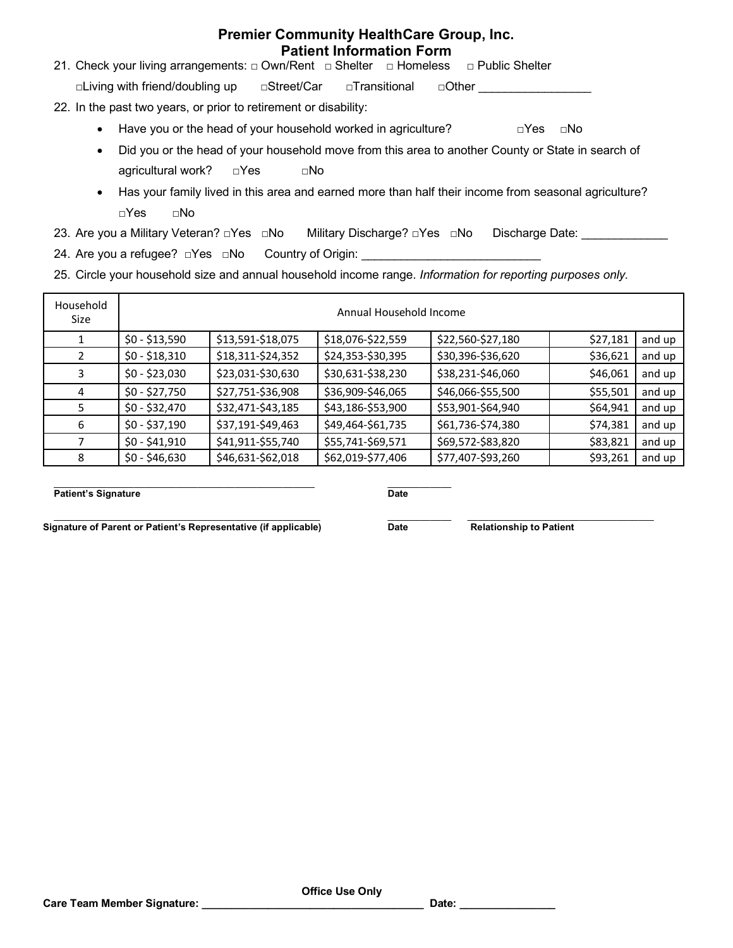# **Premier Community HealthCare Group, Inc. Patient Information Form**

21. Check your living arrangements: □ Own/Rent □ Shelter □ Homeless □ Public Shelter

□Living with friend/doubling up □Street/Car □Transitional □Other \_\_\_\_\_\_\_\_\_\_\_\_\_\_

- 22. In the past two years, or prior to retirement or disability:
	- Have you or the head of your household worked in agriculture?  $\square$ Yes  $\square$ No
	- Did you or the head of your household move from this area to another County or State in search of agricultural work? □Yes □No
	- Has your family lived in this area and earned more than half their income from seasonal agriculture? □Yes □No
- 23. Are you a Military Veteran? □Yes □No Military Discharge? □Yes □No Discharge Date: \_\_\_\_\_\_\_\_\_\_\_\_
- 24. Are you a refugee? □Yes □No Country of Origin: \_\_\_\_\_\_\_\_\_\_\_\_\_\_\_\_\_\_\_\_\_\_\_\_\_\_\_\_\_
- 25. Circle your household size and annual household income range. *Information for reporting purposes only.*

| Household<br>Size | Annual Household Income |                   |                   |                   |          |        |
|-------------------|-------------------------|-------------------|-------------------|-------------------|----------|--------|
|                   | $$0 - $13,590$          | \$13,591-\$18,075 | \$18,076-\$22,559 | \$22,560-\$27,180 | \$27,181 | and up |
| 2                 | $$0 - $18,310$          | \$18,311-\$24,352 | \$24,353-\$30,395 | \$30,396-\$36,620 | \$36,621 | and up |
| 3                 | $$0 - $23,030$          | \$23,031-\$30,630 | \$30,631-\$38,230 | \$38,231-\$46,060 | \$46,061 | and up |
| 4                 | $$0 - $27,750$          | \$27,751-\$36,908 | \$36,909-\$46,065 | \$46,066-\$55,500 | \$55,501 | and up |
| 5.                | $$0 - $32,470$          | \$32,471-\$43,185 | \$43,186-\$53,900 | \$53,901-\$64,940 | \$64,941 | and up |
| 6                 | $$0 - $37,190$          | \$37,191-\$49,463 | \$49,464-\$61,735 | \$61,736-\$74,380 | \$74,381 | and up |
|                   | $$0 - $41,910$          | \$41,911-\$55,740 | \$55,741-\$69,571 | \$69,572-\$83,820 | \$83,821 | and up |
| 8                 | $$0 - $46,630$          | \$46,631-\$62,018 | \$62,019-\$77,406 | \$77,407-\$93,260 | \$93,261 | and up |

\_\_\_\_\_\_\_\_\_\_\_\_\_\_\_\_\_\_\_\_\_\_\_\_\_\_\_\_\_\_\_\_\_\_\_\_\_\_\_\_\_\_\_\_\_\_\_\_\_ \_\_\_\_\_\_\_\_\_\_\_\_ **Patient's Signature Date** 

\_\_\_\_\_\_\_\_\_\_\_\_\_\_\_\_\_\_\_\_\_\_\_\_\_\_\_\_\_\_\_\_\_\_\_\_\_\_\_\_\_\_\_\_\_\_\_\_\_\_ \_\_\_\_\_\_\_\_\_\_\_\_ \_\_\_\_\_\_\_\_\_\_\_\_\_\_\_\_\_\_\_\_\_\_\_\_\_\_\_\_\_\_\_\_\_\_\_ **Signature of Parent or Patient's Representative (if applicable) Date Relationship to Patient**

**Office Use Only**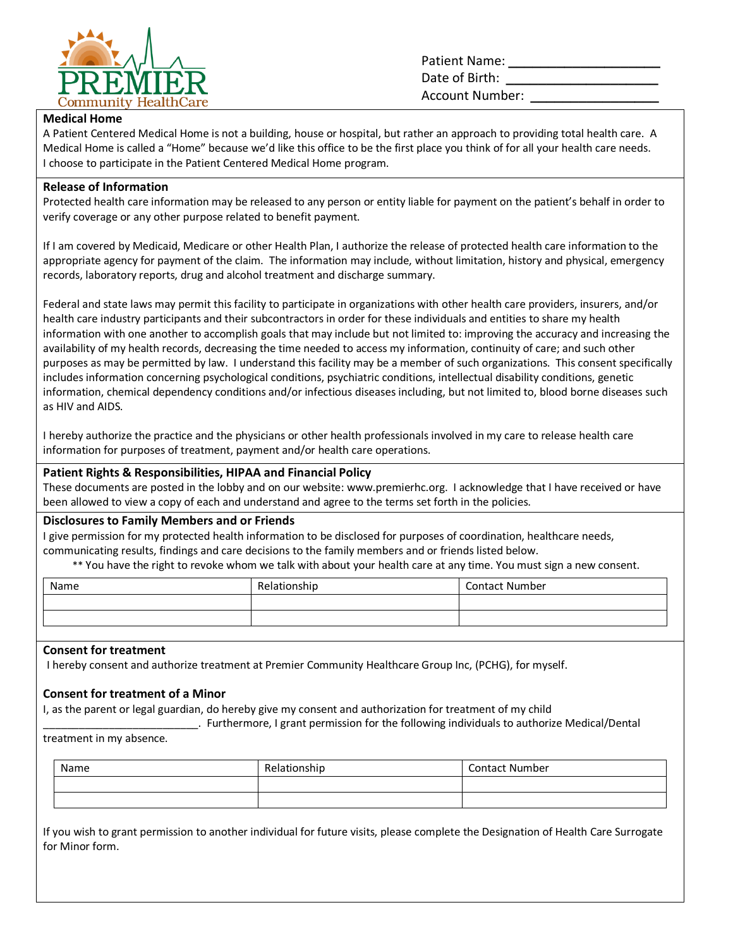

Patient Name: **\_\_\_\_\_\_\_\_\_\_\_\_\_\_\_\_\_\_\_** Date of Birth: **\_\_\_\_\_\_\_\_\_\_\_\_\_\_\_\_\_\_\_** Account Number: **\_\_\_\_\_\_\_\_\_\_\_\_\_\_\_\_**

## **Medical Home**

A Patient Centered Medical Home is not a building, house or hospital, but rather an approach to providing total health care. A Medical Home is called a "Home" because we'd like this office to be the first place you think of for all your health care needs. I choose to participate in the Patient Centered Medical Home program.

## **Release of Information**

Protected health care information may be released to any person or entity liable for payment on the patient's behalf in order to verify coverage or any other purpose related to benefit payment.

If I am covered by Medicaid, Medicare or other Health Plan, I authorize the release of protected health care information to the appropriate agency for payment of the claim. The information may include, without limitation, history and physical, emergency records, laboratory reports, drug and alcohol treatment and discharge summary.

Federal and state laws may permit this facility to participate in organizations with other health care providers, insurers, and/or health care industry participants and their subcontractors in order for these individuals and entities to share my health information with one another to accomplish goals that may include but not limited to: improving the accuracy and increasing the availability of my health records, decreasing the time needed to access my information, continuity of care; and such other purposes as may be permitted by law. I understand this facility may be a member of such organizations. This consent specifically includes information concerning psychological conditions, psychiatric conditions, intellectual disability conditions, genetic information, chemical dependency conditions and/or infectious diseases including, but not limited to, blood borne diseases such as HIV and AIDS.

I hereby authorize the practice and the physicians or other health professionals involved in my care to release health care information for purposes of treatment, payment and/or health care operations.

## **Patient Rights & Responsibilities, HIPAA and Financial Policy**

These documents are posted in the lobby and on our website: www.premierhc.org. I acknowledge that I have received or have been allowed to view a copy of each and understand and agree to the terms set forth in the policies.

## **Disclosures to Family Members and or Friends**

I give permission for my protected health information to be disclosed for purposes of coordination, healthcare needs, communicating results, findings and care decisions to the family members and or friends listed below.

\*\* You have the right to revoke whom we talk with about your health care at any time. You must sign a new consent.

| Name | Relationship | <b>Contact Number</b> |
|------|--------------|-----------------------|
|      |              |                       |
|      |              |                       |

## **Consent for treatment**

I hereby consent and authorize treatment at Premier Community Healthcare Group Inc, (PCHG), for myself.

## **Consent for treatment of a Minor**

I, as the parent or legal guardian, do hereby give my consent and authorization for treatment of my child

\_\_\_\_\_\_\_\_\_\_\_\_\_\_\_\_\_\_\_\_\_\_\_\_\_\_. Furthermore, I grant permission for the following individuals to authorize Medical/Dental

treatment in my absence.

| Name | Relationship | <b>Contact Number</b> |
|------|--------------|-----------------------|
|      |              |                       |
|      |              |                       |

If you wish to grant permission to another individual for future visits, please complete the Designation of Health Care Surrogate for Minor form.